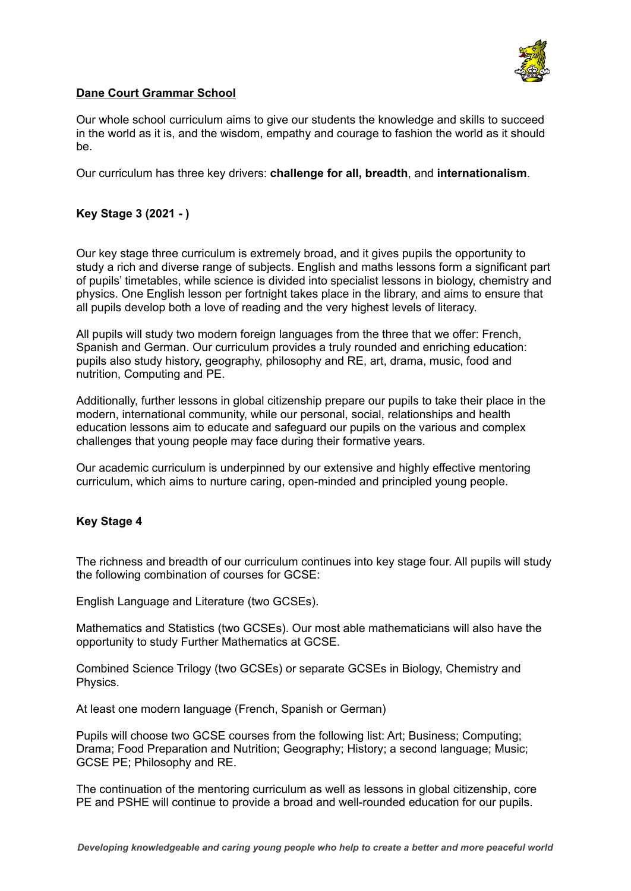

# **Dane Court Grammar School**

Our whole school curriculum aims to give our students the knowledge and skills to succeed in the world as it is, and the wisdom, empathy and courage to fashion the world as it should be.

Our curriculum has three key drivers: **challenge for all, breadth**, and **internationalism**.

# **Key Stage 3 (2021 - )**

Our key stage three curriculum is extremely broad, and it gives pupils the opportunity to study a rich and diverse range of subjects. English and maths lessons form a significant part of pupils' timetables, while science is divided into specialist lessons in biology, chemistry and physics. One English lesson per fortnight takes place in the library, and aims to ensure that all pupils develop both a love of reading and the very highest levels of literacy.

All pupils will study two modern foreign languages from the three that we offer: French, Spanish and German. Our curriculum provides a truly rounded and enriching education: pupils also study history, geography, philosophy and RE, art, drama, music, food and nutrition, Computing and PE.

Additionally, further lessons in global citizenship prepare our pupils to take their place in the modern, international community, while our personal, social, relationships and health education lessons aim to educate and safeguard our pupils on the various and complex challenges that young people may face during their formative years.

Our academic curriculum is underpinned by our extensive and highly effective mentoring curriculum, which aims to nurture caring, open-minded and principled young people.

## **Key Stage 4**

The richness and breadth of our curriculum continues into key stage four. All pupils will study the following combination of courses for GCSE:

English Language and Literature (two GCSEs).

Mathematics and Statistics (two GCSEs). Our most able mathematicians will also have the opportunity to study Further Mathematics at GCSE.

Combined Science Trilogy (two GCSEs) or separate GCSEs in Biology, Chemistry and Physics.

At least one modern language (French, Spanish or German)

Pupils will choose two GCSE courses from the following list: Art; Business; Computing; Drama; Food Preparation and Nutrition; Geography; History; a second language; Music; GCSE PE; Philosophy and RE.

The continuation of the mentoring curriculum as well as lessons in global citizenship, core PE and PSHE will continue to provide a broad and well-rounded education for our pupils.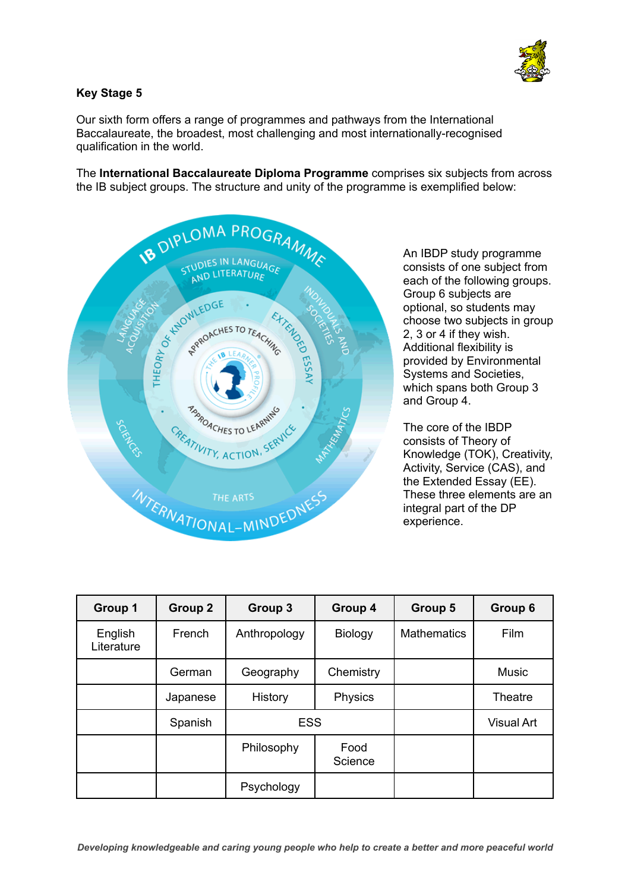

# **Key Stage 5**

Our sixth form offers a range of programmes and pathways from the International Baccalaureate, the broadest, most challenging and most internationally-recognised qualification in the world.

The **International Baccalaureate Diploma Programme** comprises six subjects from across the IB subject groups. The structure and unity of the programme is exemplified below:



An IBDP study programme consists of one subject from each of the following groups. Group 6 subjects are optional, so students may choose two subjects in group 2, 3 or 4 if they wish. Additional flexibility is provided by Environmental Systems and Societies, which spans both Group 3 and Group 4.

The core of the IBDP consists of Theory of Knowledge (TOK), Creativity, Activity, Service (CAS), and the Extended Essay (EE). These three elements are an integral part of the DP experience.

| Group 1               | Group 2  | Group 3      | Group 4         | Group 5            | Group 6           |
|-----------------------|----------|--------------|-----------------|--------------------|-------------------|
| English<br>Literature | French   | Anthropology | <b>Biology</b>  | <b>Mathematics</b> | Film              |
|                       | German   | Geography    | Chemistry       |                    | <b>Music</b>      |
|                       | Japanese | History      | Physics         |                    | Theatre           |
|                       | Spanish  | <b>ESS</b>   |                 |                    | <b>Visual Art</b> |
|                       |          | Philosophy   | Food<br>Science |                    |                   |
|                       |          | Psychology   |                 |                    |                   |